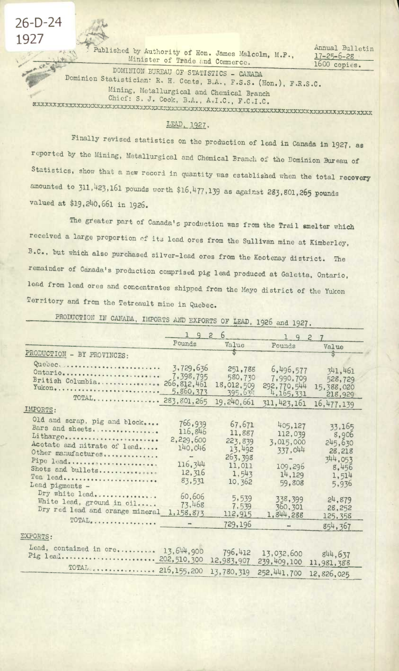1927 Annual Bulletin<br>17-25-6-28 - , Published by Authority of Hon. James Malcolm, M.P., 17-25-6-28 Minister of Trade and Commerce. 1600 copies.<br>DOMINION BUREAU OF STATISTICS - CANADA Dominion Statistician: R. H. Coats, B.A., F.S.S. (Hon.), F.R.S.C. Mining, Metallurgical and Chemical Branch Chief: S. J. Cook, B.A.,, A.I.C., F.C.I.C.

**26-D-24** 

## LEAD, 1927.

Finally revised statistics on the production of lead in Canada **in** 1927, as reported by the Mining, Metallurgical and Chemical Branch of the Dominion Bur eau of Statistics, show that a new record in quantity was established when the total recovery amounted to  $311,423,161$  pounds worth \$16,477,139 as against 283,801,265 pounds **valued at \$19,214o,661** in 1926.

The greater part of Canada's production was from the Trail smelter which received a large proportion of its lead ores from the Sullivan mine at Kimberley, B.C., but whith **also** purchased silver-lead ores from the Kootenay district. The remainder of Canada's production comprised pig lead produced at Galetta, Ontario, load from lead ores and concentrates shipped from the Mayo district of the Yukon Territory and from the Tetreault mine in Quebec.

PRODUCTION IN CANADA, IMPORTS AND EXPORTS OF LEAD, 1926 and 1927.

|                                           | $-1$ $-2$ $-1$ $-1$ $-1$ $-1$ |            |                              |              |
|-------------------------------------------|-------------------------------|------------|------------------------------|--------------|
|                                           | 1926                          |            | 192                          |              |
|                                           | Pounds                        | Value      | Pounds                       | Value        |
| PRODUCTION - BY PROVINCES:                |                               |            |                              |              |
|                                           |                               |            |                              |              |
|                                           |                               | 251,788    | 6,496,577                    | 341,461      |
| Ontario                                   | 7,398,795                     | 580,730    | 7,990,709                    | 528,729      |
| British Columbia 266, 812, 461            |                               | 18,012.509 | 292,770,544                  | 15,388,020   |
| Yukon                                     | 5,860,373                     | 395,634    | 4, 165, 331                  | 218,929      |
|                                           |                               | 19,240,661 | 311, 423, 161                | 16, 477, 139 |
| IMPORTS:                                  |                               |            |                              |              |
|                                           |                               |            |                              |              |
| Old and scrap, pig and block              | 766,939                       | 67,671     | 405,127                      | 33,165       |
| Bars and sheets                           | 116,846                       | 11,887     | 112,039                      | 8,906        |
| Litharge                                  | 2,229,600                     | 223,839    | 3,015,000                    | 245,630      |
| Acetate and nitrate of lead               | 140,046                       | 13,492     | 337,044                      | 28,218       |
| Other manufactures                        | $\sim$                        | 263,398    | $\qquad \qquad \blacksquare$ | 344,053      |
| Pipe lead                                 | 116, 344                      | 11,011     | 109,296                      | 8,456        |
| Shots and bullets                         | 12, 316                       | 1,543      | 14,129                       | 1,514        |
| Tea lead                                  | 83,531                        | 10, 362    | 59,808                       | 5,936        |
| Lead pigments -                           |                               |            |                              |              |
| Dry white lead                            | 60,606                        | 5,539      | 338,399                      | 24,879       |
| White lead, ground in oil                 | 73,468                        | 7,539      | 360,301                      | 28,252       |
| Dry red lead and orange mineral 1,158,873 |                               | 112,915    | 1,844,288                    | 125,358      |
| TOTAL                                     |                               | 729,196    |                              |              |
|                                           |                               |            |                              | 854, 367     |
| EXPORTS:                                  |                               |            |                              |              |
| Lead, contained in ore 13,644,900         |                               |            |                              |              |
| Pig lead 202,510,300                      |                               | 796,412    | 13,032,600                   | 844,637      |
|                                           |                               | 12,983,907 | 239,409,100                  | 11,981,388   |
|                                           |                               | 13,780,319 | 252, 441, 700                | 12,826,025   |
|                                           |                               |            |                              |              |